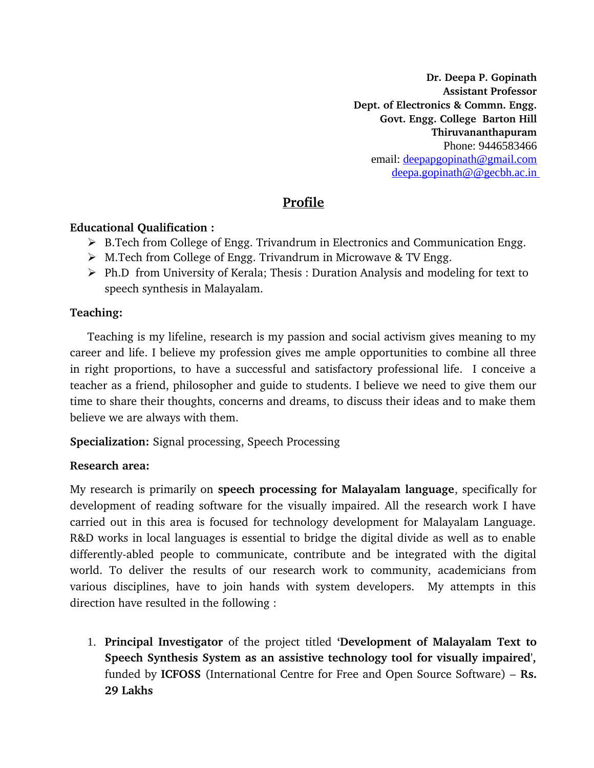**Dr. Deepa P. Gopinath Assistant Professor Dept. of Electronics & Commn. Engg. Govt. Engg. College Barton Hill Thiruvananthapuram** Phone: 9446583466 email: deepapgopinath@gmail.com deepa.gopinath@@gecbh.ac.in

# **Profile**

#### **Educational Qualification :**

- ▶ B.Tech from College of Engg. Trivandrum in Electronics and Communication Engg.
- M.Tech from College of Engg. Trivandrum in Microwave & TV Engg.
- Ph.D from University of Kerala; Thesis : Duration Analysis and modeling for text to speech synthesis in Malayalam.

### **Teaching:**

Teaching is my lifeline, research is my passion and social activism gives meaning to my career and life. I believe my profession gives me ample opportunities to combine all three in right proportions, to have a successful and satisfactory professional life. I conceive a teacher as a friend, philosopher and guide to students. I believe we need to give them our time to share their thoughts, concerns and dreams, to discuss their ideas and to make them believe we are always with them.

**Specialization:** Signal processing, Speech Processing

### **Research area:**

My research is primarily on **speech processing for Malayalam language**, specifically for development of reading software for the visually impaired. All the research work I have carried out in this area is focused for technology development for Malayalam Language. R&D works in local languages is essential to bridge the digital divide as well as to enable differently-abled people to communicate, contribute and be integrated with the digital world. To deliver the results of our research work to community, academicians from various disciplines, have to join hands with system developers. My attempts in this direction have resulted in the following :

1. **Principal Investigator** of the project titled **'Development of Malayalam Text to Speech Synthesis System as an assistive technology tool for visually impaired',** funded by **ICFOSS** (International Centre for Free and Open Source Software) – **Rs. 29 Lakhs**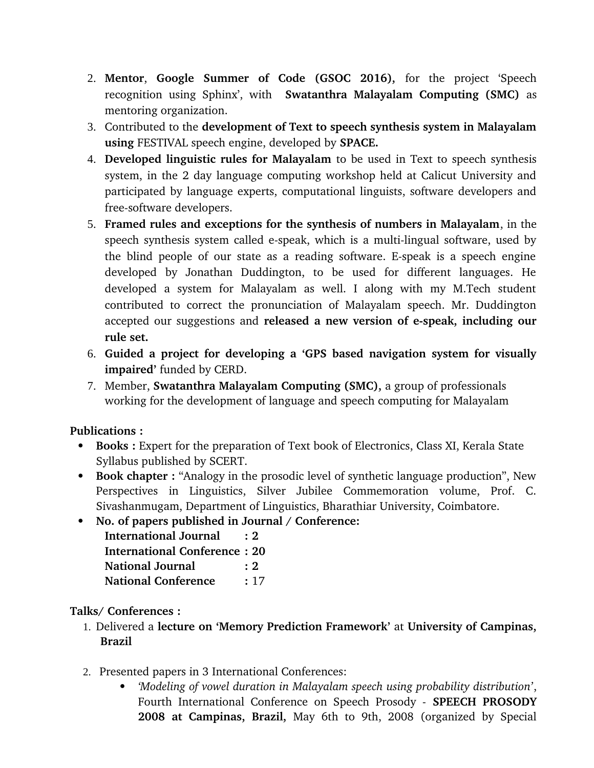- 2. **Mentor**, **Google Summer of Code (GSOC 2016),** for the project 'Speech recognition using Sphinx', with **Swatanthra Malayalam Computing (SMC)** as mentoring organization.
- 3. Contributed to the **development of Text to speech synthesis system in Malayalam using** FESTIVAL speech engine, developed by **SPACE.**
- 4. **Developed linguistic rules for Malayalam** to be used in Text to speech synthesis system, in the 2 day language computing workshop held at Calicut University and participated by language experts, computational linguists, software developers and free-software developers.
- 5. **Framed rules and exceptions for the synthesis of numbers in Malayalam**, in the speech synthesis system called e-speak, which is a multi-lingual software, used by the blind people of our state as a reading software. E-speak is a speech engine developed by Jonathan Duddington, to be used for different languages. He developed a system for Malayalam as well. I along with my M.Tech student contributed to correct the pronunciation of Malayalam speech. Mr. Duddington accepted our suggestions and **released a new version of e-speak, including our rule set.**
- 6. **Guided a project for developing a 'GPS based navigation system for visually impaired'** funded by CERD.
- 7. Member, **Swatanthra Malayalam Computing (SMC),** a group of professionals working for the development of language and speech computing for Malayalam

### **Publications :**

- **Books :** Expert for the preparation of Text book of Electronics, Class XI, Kerala State Syllabus published by SCERT.
- **Book chapter :** "Analogy in the prosodic level of synthetic language production", New Perspectives in Linguistics, Silver Jubilee Commemoration volume, Prof. C. Sivashanmugam, Department of Linguistics, Bharathiar University, Coimbatore.
- **No. of papers published in Journal / Conference:** 
	- **International Journal : 2 International Conference : 20 National Journal : 2 National Conference** : 17

## **Talks/ Conferences :**

- 1. Delivered a **lecture on 'Memory Prediction Framework'** at **University of Campinas, Brazil**
- 2. Presented papers in 3 International Conferences:
	- *'Modeling of vowel duration in Malayalam speech using probability distribution'*, Fourth International Conference on Speech Prosody - **SPEECH PROSODY 2008 at Campinas, Brazil,** May 6th to 9th, 2008 (organized by Special